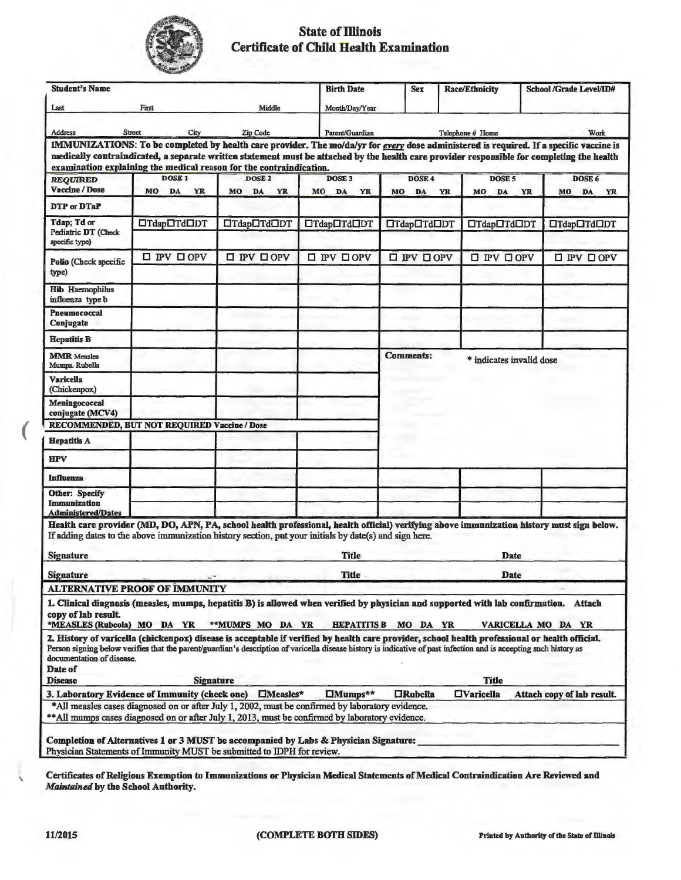

## **State of Illinois Certificate of Child Health Examination**

| <b>Student's Name</b>                                              |                                                                                                                                                                                                                                                                                                                                                             |                                     |                                 | <b>Sex</b>                  | <b>Race/Ethnicity</b>               |           | School /Grade Level/ID#         |  |
|--------------------------------------------------------------------|-------------------------------------------------------------------------------------------------------------------------------------------------------------------------------------------------------------------------------------------------------------------------------------------------------------------------------------------------------------|-------------------------------------|---------------------------------|-----------------------------|-------------------------------------|-----------|---------------------------------|--|
| Last                                                               | First                                                                                                                                                                                                                                                                                                                                                       | Middle                              | Month/Day/Year                  |                             |                                     |           |                                 |  |
| Address                                                            | <b>Street</b><br>City                                                                                                                                                                                                                                                                                                                                       | Zip Code                            | Parent/Guardian                 | Work<br>Telephone # Home    |                                     |           |                                 |  |
|                                                                    | IMMUNIZATIONS: To be completed by health care provider. The mo/da/yr for every dose administered is required. If a specific vaccine is<br>medically contraindicated, a separate written statement must be attached by the health care provider responsible for completing the health<br>examination explaining the medical reason for the contraindication. |                                     |                                 |                             |                                     |           |                                 |  |
| <b>REQUIRED</b><br><b>Vaccine / Dose</b>                           | <b>DOSE1</b><br>MO<br>YR<br>DA                                                                                                                                                                                                                                                                                                                              | DOSE <sub>2</sub><br>MO<br>DA<br>YR | <b>DOSE 3</b><br>MO<br>DA<br>YR | DOSE 4<br>MO<br>DA          | DOSE <sub>5</sub><br>YR<br>MO<br>DA | <b>YR</b> | DOSE 6<br>MO<br>DA<br><b>YR</b> |  |
| DTP or DTaP                                                        |                                                                                                                                                                                                                                                                                                                                                             |                                     |                                 |                             |                                     |           |                                 |  |
| Tdap; Td or<br>Pediatric DT (Check<br>specific type)               | □Tdap□Td□DT                                                                                                                                                                                                                                                                                                                                                 | □Tdap□Td□DT                         | □Tdap□Td□DT                     | □Tdap□Td□DT                 | □Tdap□Td□DT                         |           | $\Box$ Tdap $\Box$ Td $\Box$ DT |  |
| Polio (Check specific<br>type)                                     | $\square$ IPV $\square$ OPV                                                                                                                                                                                                                                                                                                                                 | $\square$ IPV $\square$ OPV         | $\square$ PV $\square$ OPV      | <b>O IPV OOPV</b>           | $\square$ $PV$ $\square$ $OPV$      |           | $\square$ IPV $\square$ OPV     |  |
| <b>Hib Haemophilus</b><br>influenza type b                         |                                                                                                                                                                                                                                                                                                                                                             |                                     |                                 |                             |                                     |           |                                 |  |
| Pneumococcal<br>Conjugate                                          |                                                                                                                                                                                                                                                                                                                                                             |                                     |                                 |                             |                                     |           |                                 |  |
| <b>Hepatitis B</b>                                                 |                                                                                                                                                                                                                                                                                                                                                             |                                     |                                 |                             |                                     |           |                                 |  |
| <b>MMR</b> Measles<br>Mumps. Rubella                               |                                                                                                                                                                                                                                                                                                                                                             |                                     |                                 | <b>Comments:</b>            | * indicates invalid dose            |           |                                 |  |
| <b>Varicella</b><br>(Chickenpox)                                   |                                                                                                                                                                                                                                                                                                                                                             |                                     |                                 |                             |                                     |           |                                 |  |
| Meningococcal<br>conjugate (MCV4)                                  |                                                                                                                                                                                                                                                                                                                                                             |                                     |                                 |                             |                                     |           |                                 |  |
|                                                                    | RECOMMENDED, BUT NOT REQUIRED Vaccine / Dose                                                                                                                                                                                                                                                                                                                |                                     |                                 |                             |                                     |           |                                 |  |
| <b>Hepatitis A</b>                                                 |                                                                                                                                                                                                                                                                                                                                                             |                                     |                                 |                             |                                     |           |                                 |  |
| <b>HPV</b>                                                         |                                                                                                                                                                                                                                                                                                                                                             |                                     |                                 |                             |                                     |           |                                 |  |
| <b>Influenza</b>                                                   |                                                                                                                                                                                                                                                                                                                                                             |                                     |                                 |                             |                                     |           |                                 |  |
| <b>Other: Specify</b><br>Immunization<br><b>Administered/Dates</b> |                                                                                                                                                                                                                                                                                                                                                             |                                     |                                 |                             |                                     |           |                                 |  |
|                                                                    | Health care provider (MD, DO, APN, PA, school health professional, health official) verifying above immunization history must sign below.<br>If adding dates to the above immunization history section, put your initials by date(s) and sign here.                                                                                                         |                                     |                                 |                             |                                     |           |                                 |  |
| <b>Signature</b>                                                   |                                                                                                                                                                                                                                                                                                                                                             |                                     | Title                           |                             |                                     | Date      |                                 |  |
| <b>Signature</b>                                                   |                                                                                                                                                                                                                                                                                                                                                             |                                     | <b>Title</b>                    | <b>Date</b>                 |                                     |           |                                 |  |
|                                                                    | <b>ALTERNATIVE PROOF OF IMMUNITY</b>                                                                                                                                                                                                                                                                                                                        |                                     |                                 |                             |                                     |           |                                 |  |
| copy of lab result.<br>*MEASLES (Rubeola) MO DA YR                 | 1. Clinical diagnosis (measles, mumps, hepatitis B) is allowed when verified by physician and supported with lab confirmation. Attach                                                                                                                                                                                                                       | **MUMPS MO DA YR                    |                                 | <b>HEPATITIS B MO DA YR</b> |                                     |           | VARICELLA MO DA YR              |  |
| documentation of disease.<br>Date of                               | 2. History of varicella (chickenpox) disease is acceptable if verified by health care provider, school health professional or health official.<br>Person signing below verifies that the parent/guardian's description of varicella disease history is indicative of past infection and is accepting such history as                                        |                                     |                                 |                             |                                     |           |                                 |  |
| <b>Disease</b>                                                     | <b>Signature</b><br>3. Laboratory Evidence of Immunity (check one)                                                                                                                                                                                                                                                                                          | <b>IMeasles*</b>                    | $\Box$ Mumps**                  | <b>CRubella</b>             | <b>Title</b><br><b>HVaricella</b>   |           | Attach copy of lab result.      |  |
|                                                                    | *All measles cases diagnosed on or after July 1, 2002, must be confirmed by laboratory evidence.<br>**All mumps cases diagnosed on or after July 1, 2013, must be confirmed by laboratory evidence.                                                                                                                                                         |                                     |                                 |                             |                                     |           |                                 |  |
|                                                                    | Completion of Alternatives 1 or 3 MUST be accompanied by Labs & Physician Signature:<br>Physician Statements of Immunity MUST be submitted to IDPH for review.                                                                                                                                                                                              |                                     |                                 |                             |                                     |           |                                 |  |

**Certificates of Religious Exemption to Immunizations or Physician Medical Statements of Medical Contraindication Are Reviewed and**  *Maintained* **by the School Authority.** 

**W** 

 $\overline{ }$